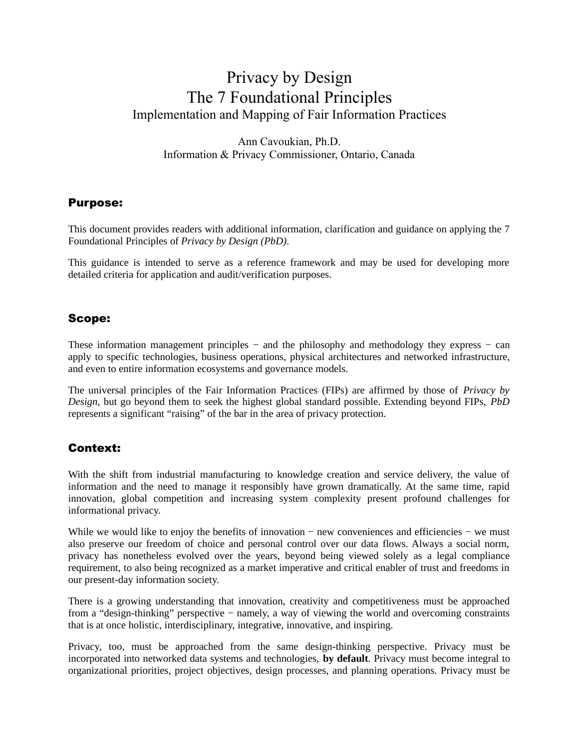# Privacy by Design The 7 Foundational Principles Implementation and Mapping of Fair Information Practices

Ann Cavoukian, Ph.D. Information & Privacy Commissioner, Ontario, Canada

#### Purpose:

This document provides readers with additional information, clarification and guidance on applying the 7 Foundational Principles of *Privacy by Design (PbD)*.

This guidance is intended to serve as a reference framework and may be used for developing more detailed criteria for application and audit/verification purposes.

#### Scope:

These information management principles − and the philosophy and methodology they express − can apply to specific technologies, business operations, physical architectures and networked infrastructure, and even to entire information ecosystems and governance models.

The universal principles of the Fair Information Practices (FIPs) are affirmed by those of *Privacy by Design*, but go beyond them to seek the highest global standard possible. Extending beyond FIPs, *PbD* represents a significant "raising" of the bar in the area of privacy protection.

#### Context:

With the shift from industrial manufacturing to knowledge creation and service delivery, the value of information and the need to manage it responsibly have grown dramatically. At the same time, rapid innovation, global competition and increasing system complexity present profound challenges for informational privacy.

While we would like to enjoy the benefits of innovation − new conveniences and efficiencies − we must also preserve our freedom of choice and personal control over our data flows. Always a social norm, privacy has nonetheless evolved over the years, beyond being viewed solely as a legal compliance requirement, to also being recognized as a market imperative and critical enabler of trust and freedoms in our present-day information society.

There is a growing understanding that innovation, creativity and competitiveness must be approached from a "design-thinking" perspective − namely, a way of viewing the world and overcoming constraints that is at once holistic, interdisciplinary, integrative, innovative, and inspiring.

Privacy, too, must be approached from the same design-thinking perspective. Privacy must be incorporated into networked data systems and technologies, **by default**. Privacy must become integral to organizational priorities, project objectives, design processes, and planning operations. Privacy must be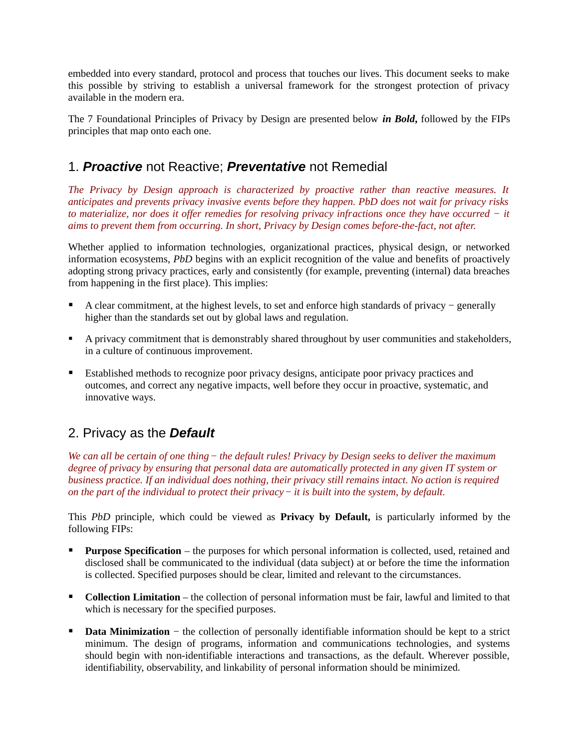embedded into every standard, protocol and process that touches our lives. This document seeks to make this possible by striving to establish a universal framework for the strongest protection of privacy available in the modern era.

The 7 Foundational Principles of Privacy by Design are presented below *in Bold***,** followed by the FIPs principles that map onto each one.

### 1. *Proactive* not Reactive; *Preventative* not Remedial

*The Privacy by Design approach is characterized by proactive rather than reactive measures. It anticipates and prevents privacy invasive events before they happen. PbD does not wait for privacy risks to materialize, nor does it offer remedies for resolving privacy infractions once they have occurred − it aims to prevent them from occurring. In short, Privacy by Design comes before-the-fact, not after.*

Whether applied to information technologies, organizational practices, physical design, or networked information ecosystems, *PbD* begins with an explicit recognition of the value and benefits of proactively adopting strong privacy practices, early and consistently (for example, preventing (internal) data breaches from happening in the first place). This implies:

- A clear commitment, at the highest levels, to set and enforce high standards of privacy − generally higher than the standards set out by global laws and regulation.
- A privacy commitment that is demonstrably shared throughout by user communities and stakeholders, in a culture of continuous improvement.
- Established methods to recognize poor privacy designs, anticipate poor privacy practices and outcomes, and correct any negative impacts, well before they occur in proactive, systematic, and innovative ways.

# 2. Privacy as the *Default*

*We can all be certain of one thing – the default rules! Privacy by Design seeks to deliver the maximum degree of privacy by ensuring that personal data are automatically protected in any given IT system or business practice. If an individual does nothing, their privacy still remains intact. No action is required on the part of the individual to protect their privacy – it is built into the system, by default.* 

This *PbD* principle, which could be viewed as **Privacy by Default,** is particularly informed by the following FIPs:

- **Purpose Specification**  the purposes for which personal information is collected, used, retained and disclosed shall be communicated to the individual (data subject) at or before the time the information is collected. Specified purposes should be clear, limited and relevant to the circumstances.
- **Collection Limitation** the collection of personal information must be fair, lawful and limited to that which is necessary for the specified purposes.
- **Data Minimization** − the collection of personally identifiable information should be kept to a strict minimum. The design of programs, information and communications technologies, and systems should begin with non-identifiable interactions and transactions, as the default. Wherever possible, identifiability, observability, and linkability of personal information should be minimized.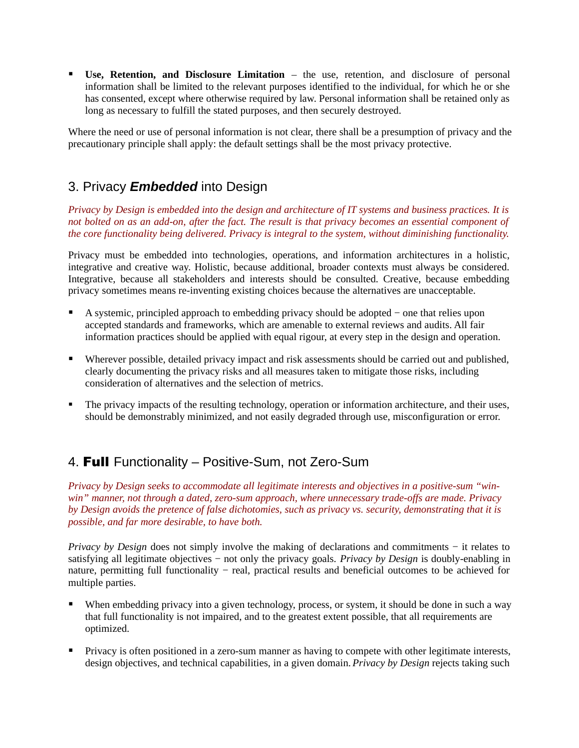**Use, Retention, and Disclosure Limitation** – the use, retention, and disclosure of personal information shall be limited to the relevant purposes identified to the individual, for which he or she has consented, except where otherwise required by law. Personal information shall be retained only as long as necessary to fulfill the stated purposes, and then securely destroyed.

Where the need or use of personal information is not clear, there shall be a presumption of privacy and the precautionary principle shall apply: the default settings shall be the most privacy protective.

# 3. Privacy *Embedded* into Design

*Privacy by Design is embedded into the design and architecture of IT systems and business practices. It is not bolted on as an add-on, after the fact. The result is that privacy becomes an essential component of the core functionality being delivered. Privacy is integral to the system, without diminishing functionality.*

Privacy must be embedded into technologies, operations, and information architectures in a holistic, integrative and creative way. Holistic, because additional, broader contexts must always be considered. Integrative, because all stakeholders and interests should be consulted. Creative, because embedding privacy sometimes means re-inventing existing choices because the alternatives are unacceptable.

- A systemic, principled approach to embedding privacy should be adopted − one that relies upon accepted standards and frameworks, which are amenable to external reviews and audits. All fair information practices should be applied with equal rigour, at every step in the design and operation.
- Wherever possible, detailed privacy impact and risk assessments should be carried out and published, clearly documenting the privacy risks and all measures taken to mitigate those risks, including consideration of alternatives and the selection of metrics.
- The privacy impacts of the resulting technology, operation or information architecture, and their uses, should be demonstrably minimized, and not easily degraded through use, misconfiguration or error.

# 4. **Full** Functionality – Positive-Sum, not Zero-Sum

*Privacy by Design seeks to accommodate all legitimate interests and objectives in a positive-sum "winwin" manner, not through a dated, zero-sum approach, where unnecessary trade-offs are made. Privacy by Design avoids the pretence of false dichotomies, such as privacy vs. security, demonstrating that it is possible, and far more desirable, to have both.*

*Privacy by Design does not simply involve the making of declarations and commitments − it relates to* satisfying all legitimate objectives − not only the privacy goals. *Privacy by Design* is doubly-enabling in nature, permitting full functionality – real, practical results and beneficial outcomes to be achieved for multiple parties.

- When embedding privacy into a given technology, process, or system, it should be done in such a way that full functionality is not impaired, and to the greatest extent possible, that all requirements are optimized.
- Privacy is often positioned in a zero-sum manner as having to compete with other legitimate interests, design objectives, and technical capabilities, in a given domain. *Privacy by Design* rejects taking such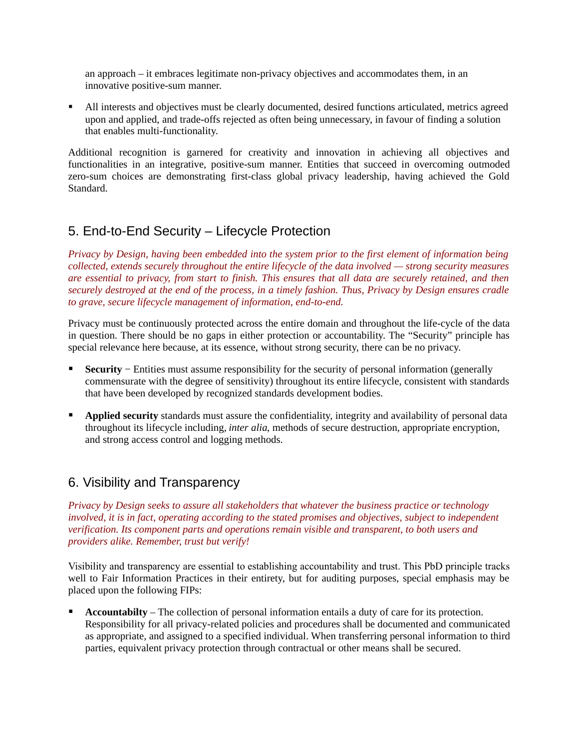an approach – it embraces legitimate non-privacy objectives and accommodates them, in an innovative positive-sum manner.

 All interests and objectives must be clearly documented, desired functions articulated, metrics agreed upon and applied, and trade-offs rejected as often being unnecessary, in favour of finding a solution that enables multi-functionality.

Additional recognition is garnered for creativity and innovation in achieving all objectives and functionalities in an integrative, positive-sum manner. Entities that succeed in overcoming outmoded zero-sum choices are demonstrating first-class global privacy leadership, having achieved the Gold Standard.

### 5. End-to-End Security – Lifecycle Protection

*Privacy by Design, having been embedded into the system prior to the first element of information being collected, extends securely throughout the entire lifecycle of the data involved — strong security measures are essential to privacy, from start to finish. This ensures that all data are securely retained, and then securely destroyed at the end of the process, in a timely fashion. Thus, Privacy by Design ensures cradle to grave, secure lifecycle management of information, end-to-end.*

Privacy must be continuously protected across the entire domain and throughout the life-cycle of the data in question. There should be no gaps in either protection or accountability. The "Security" principle has special relevance here because, at its essence, without strong security, there can be no privacy.

- **Security** − Entities must assume responsibility for the security of personal information (generally commensurate with the degree of sensitivity) throughout its entire lifecycle, consistent with standards that have been developed by recognized standards development bodies.
- **Applied security** standards must assure the confidentiality, integrity and availability of personal data throughout its lifecycle including, *inter alia*, methods of secure destruction, appropriate encryption, and strong access control and logging methods.

### 6. Visibility and Transparency

*Privacy by Design seeks to assure all stakeholders that whatever the business practice or technology involved, it is in fact, operating according to the stated promises and objectives, subject to independent verification. Its component parts and operations remain visible and transparent, to both users and providers alike. Remember, trust but verify!*

Visibility and transparency are essential to establishing accountability and trust. This PbD principle tracks well to Fair Information Practices in their entirety, but for auditing purposes, special emphasis may be placed upon the following FIPs:

 **Accountabilty** – The collection of personal information entails a duty of care for its protection. Responsibility for all privacy-related policies and procedures shall be documented and communicated as appropriate, and assigned to a specified individual. When transferring personal information to third parties, equivalent privacy protection through contractual or other means shall be secured.